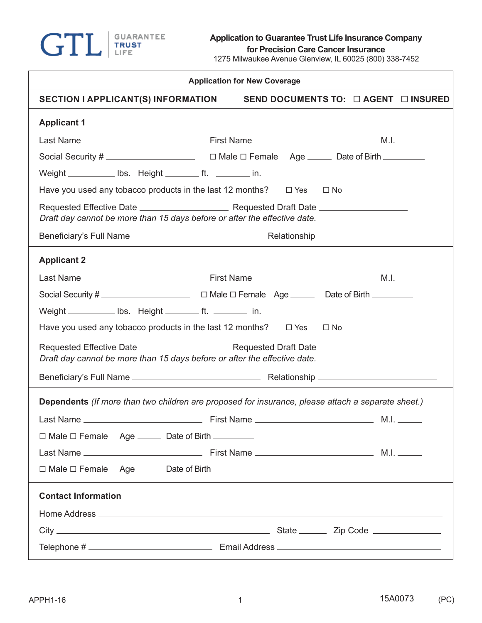

**for Precision Care Cancer Insurance**

1275 Milwaukee Avenue Glenview, IL 60025 (800) 338-7452

| <b>Application for New Coverage</b>                                                                |                                                |  |  |  |  |  |
|----------------------------------------------------------------------------------------------------|------------------------------------------------|--|--|--|--|--|
| <b>SECTION I APPLICANT(S) INFORMATION</b>                                                          | SEND DOCUMENTS TO: $\Box$ AGENT $\Box$ INSURED |  |  |  |  |  |
| <b>Applicant 1</b>                                                                                 |                                                |  |  |  |  |  |
|                                                                                                    |                                                |  |  |  |  |  |
|                                                                                                    |                                                |  |  |  |  |  |
| Weight ____________ lbs. Height __________ ft. __________ in.                                      |                                                |  |  |  |  |  |
| Have you used any tobacco products in the last 12 months? $\Box$ Yes $\Box$ No                     |                                                |  |  |  |  |  |
| Draft day cannot be more than 15 days before or after the effective date.                          |                                                |  |  |  |  |  |
|                                                                                                    |                                                |  |  |  |  |  |
| <b>Applicant 2</b>                                                                                 |                                                |  |  |  |  |  |
|                                                                                                    |                                                |  |  |  |  |  |
|                                                                                                    |                                                |  |  |  |  |  |
| Weight _____________ lbs. Height __________ ft. __________ in.                                     |                                                |  |  |  |  |  |
| Have you used any tobacco products in the last 12 months? $\Box$ Yes                               | $\square$ No                                   |  |  |  |  |  |
| Draft day cannot be more than 15 days before or after the effective date.                          |                                                |  |  |  |  |  |
|                                                                                                    |                                                |  |  |  |  |  |
| Dependents (If more than two children are proposed for insurance, please attach a separate sheet.) |                                                |  |  |  |  |  |
|                                                                                                    |                                                |  |  |  |  |  |
| $\Box$ Male $\Box$ Female Age $\Box$ Date of Birth $\Box$                                          |                                                |  |  |  |  |  |
|                                                                                                    |                                                |  |  |  |  |  |
| $\Box$ Male $\Box$ Female Age _______ Date of Birth __________                                     |                                                |  |  |  |  |  |
| <b>Contact Information</b>                                                                         |                                                |  |  |  |  |  |
|                                                                                                    |                                                |  |  |  |  |  |
|                                                                                                    |                                                |  |  |  |  |  |
|                                                                                                    |                                                |  |  |  |  |  |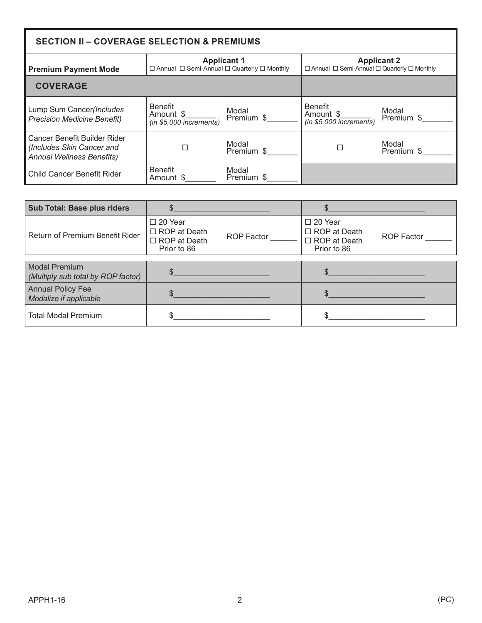| <b>SECTION II - COVERAGE SELECTION &amp; PREMIUMS</b>                                         |                                                                                        |                     |  |                                                                                        |                     |
|-----------------------------------------------------------------------------------------------|----------------------------------------------------------------------------------------|---------------------|--|----------------------------------------------------------------------------------------|---------------------|
| <b>Premium Payment Mode</b>                                                                   | <b>Applicant 1</b><br>$\Box$ Annual $\Box$ Semi-Annual $\Box$ Quarterly $\Box$ Monthly |                     |  | <b>Applicant 2</b><br>$\Box$ Annual $\Box$ Semi-Annual $\Box$ Quarterly $\Box$ Monthly |                     |
| <b>COVERAGE</b>                                                                               |                                                                                        |                     |  |                                                                                        |                     |
| Lump Sum Cancer(Includes<br><b>Precision Medicine Benefit)</b>                                | <b>Benefit</b><br>Amount \$<br>$(in $5,000$ increments)                                | Modal<br>Premium \$ |  | <b>Benefit</b><br>Amount \$<br>(in \$5,000 increments)                                 | Modal<br>Premium \$ |
| Cancer Benefit Builder Rider<br>(Includes Skin Cancer and<br><b>Annual Wellness Benefits)</b> |                                                                                        | Modal<br>Premium \$ |  |                                                                                        | Modal<br>Premium \$ |
| Child Cancer Benefit Rider                                                                    | <b>Benefit</b><br>Amount \$                                                            | Modal<br>Premium \$ |  |                                                                                        |                     |

| <b>Sub Total: Base plus riders</b>                 |                                                                             | the control of the control of the control of the control of |                                                                             | the control of the control of the control of the control of the control of the control of |
|----------------------------------------------------|-----------------------------------------------------------------------------|-------------------------------------------------------------|-----------------------------------------------------------------------------|-------------------------------------------------------------------------------------------|
| Return of Premium Benefit Rider                    | $\Box$ 20 Year<br>$\Box$ ROP at Death<br>$\Box$ ROP at Death<br>Prior to 86 | ROP Factor                                                  | $\Box$ 20 Year<br>$\Box$ ROP at Death<br>$\Box$ ROP at Death<br>Prior to 86 | ROP Factor                                                                                |
| <b>Modal Premium</b>                               |                                                                             |                                                             |                                                                             |                                                                                           |
| (Multiply sub total by ROP factor)                 | $\frac{1}{2}$                                                               |                                                             | $\sim$                                                                      |                                                                                           |
| <b>Annual Policy Fee</b><br>Modalize if applicable | $\sim$                                                                      |                                                             | $\sim$                                                                      |                                                                                           |
| <b>Total Modal Premium</b>                         |                                                                             |                                                             |                                                                             |                                                                                           |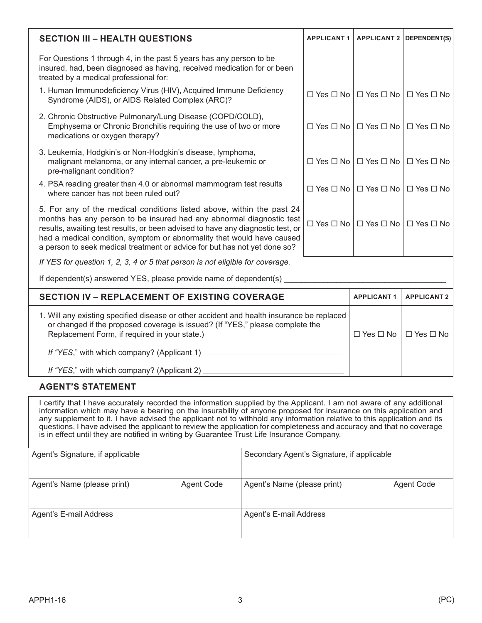| <b>SECTION III - HEALTH QUESTIONS</b>                                                                                                                                                                                                                                                                                                                                                   | <b>APPLICANT 1</b>          |                      | <b>APPLICANT 2 DEPENDENT(S)</b>           |  |  |  |
|-----------------------------------------------------------------------------------------------------------------------------------------------------------------------------------------------------------------------------------------------------------------------------------------------------------------------------------------------------------------------------------------|-----------------------------|----------------------|-------------------------------------------|--|--|--|
| For Questions 1 through 4, in the past 5 years has any person to be<br>insured, had, been diagnosed as having, received medication for or been<br>treated by a medical professional for:                                                                                                                                                                                                |                             |                      |                                           |  |  |  |
| 1. Human Immunodeficiency Virus (HIV), Acquired Immune Deficiency<br>Syndrome (AIDS), or AIDS Related Complex (ARC)?                                                                                                                                                                                                                                                                    | $\Box$ Yes $\Box$ No $\Box$ |                      | $\Box$ Yes $\Box$ No $\Box$ Yes $\Box$ No |  |  |  |
| 2. Chronic Obstructive Pulmonary/Lung Disease (COPD/COLD),<br>Emphysema or Chronic Bronchitis requiring the use of two or more<br>medications or oxygen therapy?                                                                                                                                                                                                                        | $\Box$ Yes $\Box$ No        |                      | $\Box$ Yes $\Box$ No $\Box$ Yes $\Box$ No |  |  |  |
| 3. Leukemia, Hodgkin's or Non-Hodgkin's disease, lymphoma,<br>malignant melanoma, or any internal cancer, a pre-leukemic or<br>pre-malignant condition?                                                                                                                                                                                                                                 | $\Box$ Yes $\Box$ No        | $\Box$ Yes $\Box$ No | $\Box$ Yes $\Box$ No                      |  |  |  |
| 4. PSA reading greater than 4.0 or abnormal mammogram test results<br>where cancer has not been ruled out?                                                                                                                                                                                                                                                                              | $\Box$ Yes $\Box$ No        | $\Box$ Yes $\Box$ No | $\Box$ Yes $\Box$ No                      |  |  |  |
| 5. For any of the medical conditions listed above, within the past 24<br>months has any person to be insured had any abnormal diagnostic test<br>results, awaiting test results, or been advised to have any diagnostic test, or<br>had a medical condition, symptom or abnormality that would have caused<br>a person to seek medical treatment or advice for but has not yet done so? | □ Yes □ No │                |                      | $\Box$ Yes $\Box$ No $\Box$ Yes $\Box$ No |  |  |  |
| If YES for question 1, 2, 3, 4 or 5 that person is not eligible for coverage.                                                                                                                                                                                                                                                                                                           |                             |                      |                                           |  |  |  |
| If dependent(s) answered YES, please provide name of dependent(s)                                                                                                                                                                                                                                                                                                                       |                             |                      |                                           |  |  |  |
| <b>SECTION IV - REPLACEMENT OF EXISTING COVERAGE</b>                                                                                                                                                                                                                                                                                                                                    |                             | <b>APPLICANT1</b>    | <b>APPLICANT 2</b>                        |  |  |  |
| 1. Will any existing specified disease or other accident and health insurance be replaced<br>or changed if the proposed coverage is issued? (If "YES," please complete the<br>Replacement Form, if required in your state.)                                                                                                                                                             |                             |                      | $\Box$ Yes $\Box$ No                      |  |  |  |
|                                                                                                                                                                                                                                                                                                                                                                                         |                             |                      |                                           |  |  |  |
| If "YES," with which company? (Applicant 2)                                                                                                                                                                                                                                                                                                                                             |                             |                      |                                           |  |  |  |

## **AGENT'S STATEMENT**

I certify that I have accurately recorded the information supplied by the Applicant. I am not aware of any additional information which may have a bearing on the insurability of anyone proposed for insurance on this application and any supplement to it. I have advised the applicant not to withhold any information relative to this application and its questions. I have advised the applicant to review the application for completeness and accuracy and that no coverage is in effect until they are notified in writing by Guarantee Trust Life Insurance Company.

| Agent's Signature, if applicable |            | Secondary Agent's Signature, if applicable |            |  |
|----------------------------------|------------|--------------------------------------------|------------|--|
| Agent's Name (please print)      | Agent Code | Agent's Name (please print)                | Agent Code |  |
| Agent's E-mail Address           |            | Agent's E-mail Address                     |            |  |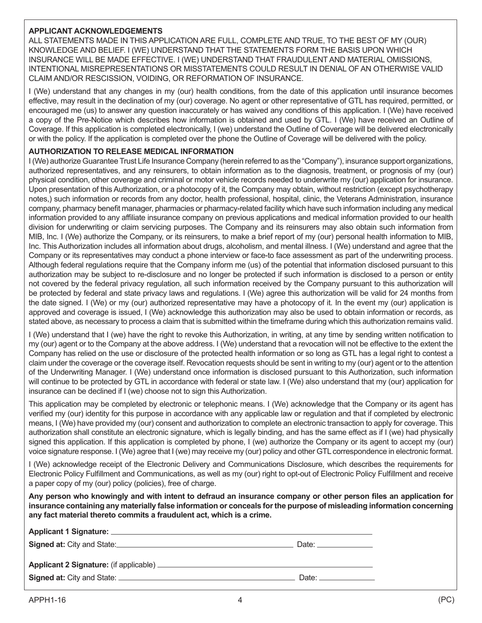## **APPLICANT ACKNOWLEDGEMENTS**

ALL STATEMENTS MADE IN THIS APPLICATION ARE FULL, COMPLETE AND TRUE, TO THE BEST OF MY (OUR) KNOWLEDGE AND BELIEF. I (WE) UNDERSTAND THAT THE STATEMENTS FORM THE BASIS UPON WHICH INSURANCE WILL BE MADE EFFECTIVE. I (WE) UNDERSTAND THAT FRAUDULENT AND MATERIAL OMISSIONS, INTENTIONAL MISREPRESENTATIONS OR MISSTATEMENTS COULD RESULT IN DENIAL OF AN OTHERWISE VALID CLAIM AND/OR RESCISSION, VOIDING, OR REFORMATION OF INSURANCE.

I (We) understand that any changes in my (our) health conditions, from the date of this application until insurance becomes effective, may result in the declination of my (our) coverage. No agent or other representative of GTL has required, permitted, or encouraged me (us) to answer any question inaccurately or has waived any conditions of this application. I (We) have received a copy of the Pre-Notice which describes how information is obtained and used by GTL. I (We) have received an Outline of Coverage. If this application is completed electronically, I (we) understand the Outline of Coverage will be delivered electronically or with the policy. If the application is completed over the phone the Outline of Coverage will be delivered with the policy.

## **AUTHORIZATION TO RELEASE MEDICAL INFORMATION**

I (We) authorize Guarantee Trust Life Insurance Company (herein referred to as the "Company"), insurance support organizations, authorized representatives, and any reinsurers, to obtain information as to the diagnosis, treatment, or prognosis of my (our) physical condition, other coverage and criminal or motor vehicle records needed to underwrite my (our) application for insurance. Upon presentation of this Authorization, or a photocopy of it, the Company may obtain, without restriction (except psychotherapy notes,) such information or records from any doctor, health professional, hospital, clinic, the Veterans Administration, insurance company, pharmacy benefit manager, pharmacies or pharmacy-related facility which have such information including any medical information provided to any affiliate insurance company on previous applications and medical information provided to our health division for underwriting or claim servicing purposes. The Company and its reinsurers may also obtain such information from MIB, Inc. I (We) authorize the Company, or its reinsurers, to make a brief report of my (our) personal health information to MIB, Inc. This Authorization includes all information about drugs, alcoholism, and mental illness. I (We) understand and agree that the Company or its representatives may conduct a phone interview or face-to face assessment as part of the underwriting process. Although federal regulations require that the Company inform me (us) of the potential that information disclosed pursuant to this authorization may be subject to re-disclosure and no longer be protected if such information is disclosed to a person or entity not covered by the federal privacy regulation, all such information received by the Company pursuant to this authorization will be protected by federal and state privacy laws and regulations. I (We) agree this authorization will be valid for 24 months from the date signed. I (We) or my (our) authorized representative may have a photocopy of it. In the event my (our) application is approved and coverage is issued, I (We) acknowledge this authorization may also be used to obtain information or records, as stated above, as necessary to process a claim that is submitted within the timeframe during which this authorization remains valid.

I (We) understand that I (we) have the right to revoke this Authorization, in writing, at any time by sending written notification to my (our) agent or to the Company at the above address. I (We) understand that a revocation will not be effective to the extent the Company has relied on the use or disclosure of the protected health information or so long as GTL has a legal right to contest a claim under the coverage or the coverage itself. Revocation requests should be sent in writing to my (our) agent or to the attention of the Underwriting Manager. I (We) understand once information is disclosed pursuant to this Authorization, such information will continue to be protected by GTL in accordance with federal or state law. I (We) also understand that my (our) application for insurance can be declined if I (we) choose not to sign this Authorization.

This application may be completed by electronic or telephonic means. I (We) acknowledge that the Company or its agent has verified my (our) identity for this purpose in accordance with any applicable law or regulation and that if completed by electronic means, I (We) have provided my (our) consent and authorization to complete an electronic transaction to apply for coverage. This authorization shall constitute an electronic signature, which is legally binding, and has the same effect as if I (we) had physically signed this application. If this application is completed by phone, I (we) authorize the Company or its agent to accept my (our) voice signature response. I (We) agree that I (we) may receive my (our) policy and other GTL correspondence in electronic format.

I (We) acknowledge receipt of the Electronic Delivery and Communications Disclosure, which describes the requirements for Electronic Policy Fulfillment and Communications, as well as my (our) right to opt-out of Electronic Policy Fulfillment and receive a paper copy of my (our) policy (policies), free of charge.

**Any person who knowingly and with intent to defraud an insurance company or other person files an application for insurance containing any materially false information or conceals for the purpose of misleading information concerning any fact material thereto commits a fraudulent act, which is a crime.**

| Signed at: City and State: <u>contract and state</u> | Date: ______________ |
|------------------------------------------------------|----------------------|
|                                                      |                      |
|                                                      | Date: ____________   |